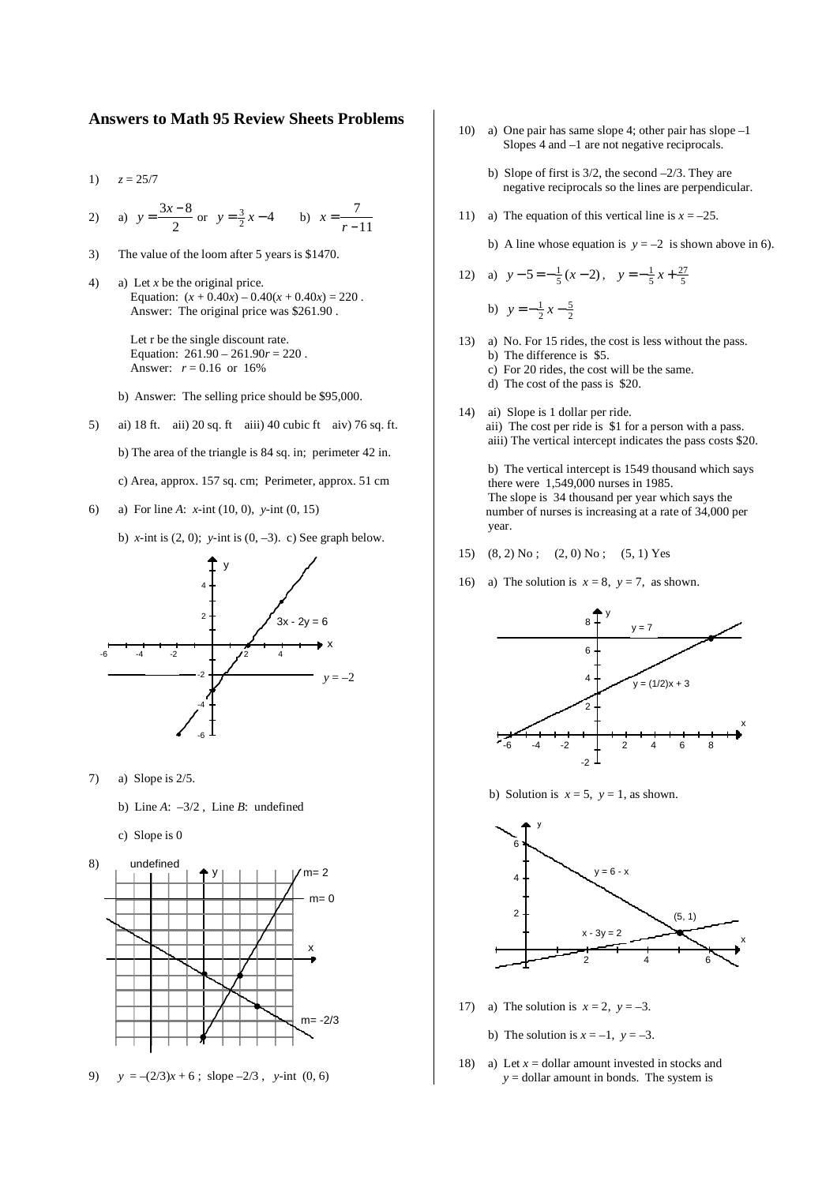## **Answers to Math 95 Review Sheets Problems**

- 1)  $z = 25/7$
- 2) a)  $y = \frac{3x 8}{2}$  $\frac{x-8}{2}$  or  $y = \frac{3}{2}x - 4$  b)  $x = \frac{7}{r-4}$ *r* −11
- 3) The value of the loom after 5 years is \$1470.
- 4) a) Let *x* be the original price. Equation:  $(x + 0.40x) - 0.40(x + 0.40x) = 220$ . Answer: The original price was \$261.90 .

 Let r be the single discount rate. Equation:  $261.90 - 261.90r = 220$ . Answer:  $r = 0.16$  or 16%

b) Answer: The selling price should be \$95,000.

- 5) ai) 18 ft. aii) 20 sq. ft aiii) 40 cubic ft aiv) 76 sq. ft. b) The area of the triangle is 84 sq. in; perimeter 42 in. c) Area, approx. 157 sq. cm; Perimeter, approx. 51 cm
- 6) a) For line *A*: *x*-int (10, 0), *y*-int (0, 15)

b) *x*-int is  $(2, 0)$ ; *y*-int is  $(0, -3)$ . c) See graph below.



- 7) a) Slope is 2/5.
	- b) Line *A*: –3/2 , Line *B*: undefined
	- c) Slope is 0



9)  $y = -(2/3)x + 6$ ; slope  $-2/3$ , y-int (0, 6)

- 10) a) One pair has same slope 4; other pair has slope –1 Slopes 4 and –1 are not negative reciprocals.
	- b) Slope of first is  $3/2$ , the second  $-2/3$ . They are negative reciprocals so the lines are perpendicular.
- 11) a) The equation of this vertical line is  $x = -25$ .
	- b) A line whose equation is  $y = -2$  is shown above in 6).

12) a) 
$$
y-5=-\frac{1}{5}(x-2)
$$
,  $y=-\frac{1}{5}x+\frac{27}{5}$   
b)  $y=-\frac{1}{2}x-\frac{5}{2}$ 

- 13) a) No. For 15 rides, the cost is less without the pass. b) The difference is \$5.
	- c) For 20 rides, the cost will be the same.
	- d) The cost of the pass is \$20.
- 14) ai) Slope is 1 dollar per ride. aii) The cost per ride is \$1 for a person with a pass. aiii) The vertical intercept indicates the pass costs \$20.

 b) The vertical intercept is 1549 thousand which says there were 1,549,000 nurses in 1985. The slope is 34 thousand per year which says the number of nurses is increasing at a rate of 34,000 per year.

- 15)  $(8, 2)$  No;  $(2, 0)$  No;  $(5, 1)$  Yes
- 16) a) The solution is  $x = 8$ ,  $y = 7$ , as shown.



b) Solution is  $x = 5$ ,  $y = 1$ , as shown.



- 17) a) The solution is  $x = 2$ ,  $y = -3$ .
	- b) The solution is  $x = -1$ ,  $y = -3$ .
- 18) a) Let  $x =$  dollar amount invested in stocks and *y* = dollar amount in bonds. The system is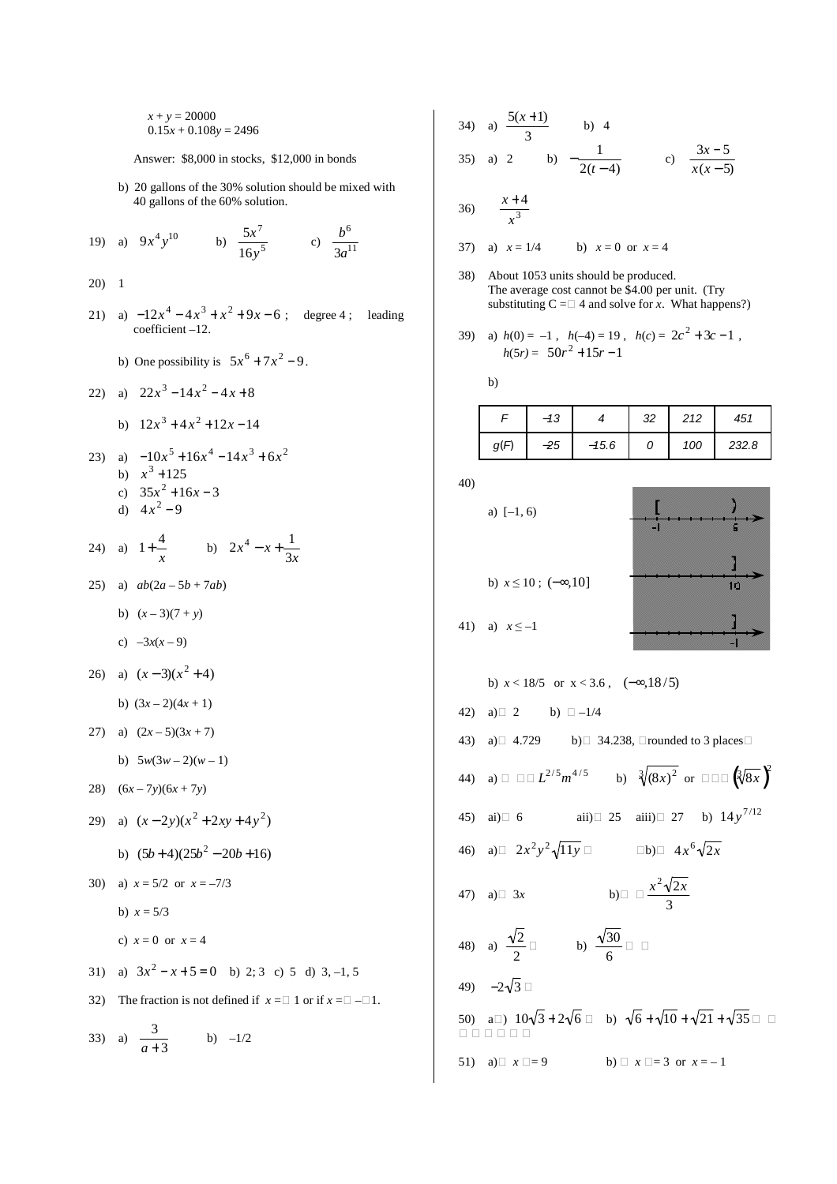$x + y = 20000$  $0.15x + 0.108y = 2496$ 

Answer: \$8,000 in stocks, \$12,000 in bonds

 b) 20 gallons of the 30% solution should be mixed with 40 gallons of the 60% solution.

19) a) 
$$
9x^4y^{10}
$$
 b)  $\frac{5x^7}{16y^5}$  c)  $\frac{b^6}{3a^{11}}$ 

20) 1

- 21) a)  $-12x^4 4x^3 + x^2 + 9x 6$ ; degree 4; leading coefficient –12.
- b) One possibility is  $5x^6 + 7x^2 9$ .

22) a) 
$$
22x^3 - 14x^2 - 4x + 8
$$

b) 
$$
12x^3 + 4x^2 + 12x - 14
$$

23) a) 
$$
-10x^5 + 16x^4 - 14x^3 + 6x^2
$$
  
\nb)  $x^3 + 125$   
\nc)  $35x^2 + 16x - 3$   
\nd)  $4x^2 - 9$ 

24) a) 
$$
1 + \frac{4}{x}
$$
 b)  $2x^4 - x + \frac{1}{3x}$ 

25) a) *ab*(2*a* – 5*b* + 7*ab*)

$$
b) \quad (x-3)(7+y)
$$

$$
c) -3x(x-9)
$$

26) a)  $(x-3)(x^2+4)$ 

b) 
$$
(3x-2)(4x+1)
$$

$$
27) \quad a) \quad (2x-5)(3x+7)
$$

- b)  $5w(3w-2)(w-1)$
- 28)  $(6x-7y)(6x+7y)$
- 29) a)  $(x-2y)(x^2+2xy+4y^2)$ 
	- b)  $(5b+4)(25b^2-20b+16)$
- 30) a)  $x = 5/2$  or  $x = -7/3$

b)  $x = 5/3$ 

- c)  $x = 0$  or  $x = 4$
- 31) a)  $3x^2 x + 5 = 0$  b) 2; 3 c) 5 d) 3, -1, 5
- 32) The fraction is not defined if  $x = \square 1$  or if  $x = \square \square 1$ .

33) a)  $\frac{3}{2}$ *a* + 3 b)  $-1/2$ 

34) a) 
$$
\frac{5(x+1)}{3}
$$
 b) 4  
35) a) 2 b)  $-\frac{1}{2(t-4)}$  c)  $\frac{3x-5}{x(x-5)}$ 

$$
36)\quad \frac{x+4}{x^3}
$$

37) a)  $x = 1/4$  b)  $x = 0$  or  $x = 4$ 

38) About 1053 units should be produced. The average cost cannot be \$4.00 per unit. (Try substituting  $C = \Box$  4 and solve for *x*. What happens?)

39) a) 
$$
h(0) = -1
$$
,  $h(-4) = 19$ ,  $h(c) = 2c^2 + 3c - 1$ ,  
 $h(5r) = 50r^2 + 15r - 1$ 

b)

|      | $-13$ |         | 32 | 212 | 451   |
|------|-------|---------|----|-----|-------|
| g(F) | $-25$ | $-15.6$ | 0  | 100 | 232.8 |

40)

a) 
$$
[-1, 6)
$$

41) a)  $x \le -1$ 

b)  $x \le 10$ ; ( $-\infty,10$ ]

**) [ ]** m **]**

b) 
$$
x < 18/5
$$
 or  $x < 3.6$ ,  $(-\infty, 18/5)$   
\n42) a)□ 2 b) □ -1/4  
\n43) a)□ 4.729 b)□ 34.238, □rounded to 3 places□  
\n44) a) □ □□  $L^{2/5}m^{4/5}$  b)  $\sqrt[3]{(8x)^2}$  or □□□  $(\sqrt[3]{8x})^2$   
\n45) ai)□ 6 aii)□ 25 aiii)□ 27 b)  $14y^{7/12}$   
\n46) a)□  $2x^2y^2\sqrt{11y}$  □ $16$ )□  $4x^6\sqrt{2x}$   
\n47) a)□ 3x b)□  $\frac{x^2\sqrt{2x}}{3}$   
\n48) a)  $\frac{\sqrt{2}}{2}$  b)  $\frac{\sqrt{30}}{6}$ □ □  
\n49) -2 $\sqrt{3}$  □  
\n50) a□)  $10\sqrt{3} + 2\sqrt{6}$  □ b)  $\sqrt{6} + \sqrt{10} + \sqrt{21} + \sqrt{35}$  □ □  
\n□ □ □ □ □ □  
\n51) a)□  $x \square = 9$  b) □  $x \square = 3$  or  $x = -1$